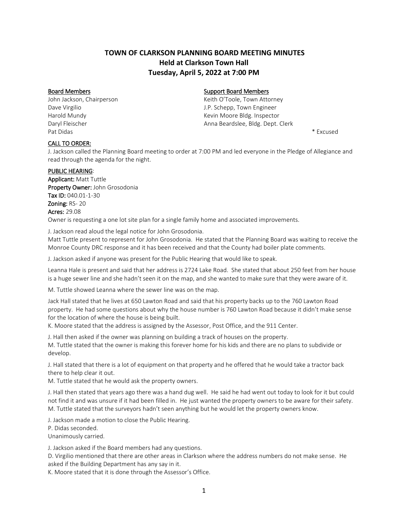# **TOWN OF CLARKSON PLANNING BOARD MEETING MINUTES Held at Clarkson Town Hall Tuesday, April 5, 2022 at 7:00 PM**

Pat Didas \* Excused

## Board Members **Support Board Members** Support Board Members

John Jackson, Chairperson **Keith O'Toole, Town Attorney** Keith O'Toole, Town Attorney Dave Virgilio J.P. Schepp, Town Engineer Harold Mundy **Kevin Moore Bldg. Inspector Kevin Moore Bldg.** Inspector Daryl Fleischer Anna Beardslee, Bldg. Dept. Clerk

#### CALL TO ORDER:

J. Jackson called the Planning Board meeting to order at 7:00 PM and led everyone in the Pledge of Allegiance and read through the agenda for the night.

#### PUBLIC HEARING:

Applicant: Matt Tuttle Property Owner: John Grosodonia Tax ID: 040.01-1-30 Zoning: RS-20 Acres: 29.08 Owner is requesting a one lot site plan for a single family home and associated improvements.

J. Jackson read aloud the legal notice for John Grosodonia. Matt Tuttle present to represent for John Grosodonia. He stated that the Planning Board was waiting to receive the Monroe County DRC response and it has been received and that the County had boiler plate comments.

J. Jackson asked if anyone was present for the Public Hearing that would like to speak.

Leanna Hale is present and said that her address is 2724 Lake Road. She stated that about 250 feet from her house is a huge sewer line and she hadn't seen it on the map, and she wanted to make sure that they were aware of it.

M. Tuttle showed Leanna where the sewer line was on the map.

Jack Hall stated that he lives at 650 Lawton Road and said that his property backs up to the 760 Lawton Road property. He had some questions about why the house number is 760 Lawton Road because it didn't make sense for the location of where the house is being built.

K. Moore stated that the address is assigned by the Assessor, Post Office, and the 911 Center.

J. Hall then asked if the owner was planning on building a track of houses on the property.

M. Tuttle stated that the owner is making this forever home for his kids and there are no plans to subdivide or develop.

J. Hall stated that there is a lot of equipment on that property and he offered that he would take a tractor back there to help clear it out.

M. Tuttle stated that he would ask the property owners.

J. Hall then stated that years ago there was a hand dug well. He said he had went out today to look for it but could not find it and was unsure if it had been filled in. He just wanted the property owners to be aware for their safety. M. Tuttle stated that the surveyors hadn't seen anything but he would let the property owners know.

J. Jackson made a motion to close the Public Hearing.

P. Didas seconded.

Unanimously carried.

J. Jackson asked if the Board members had any questions.

D. Virgilio mentioned that there are other areas in Clarkson where the address numbers do not make sense. He asked if the Building Department has any say in it.

K. Moore stated that it is done through the Assessor's Office.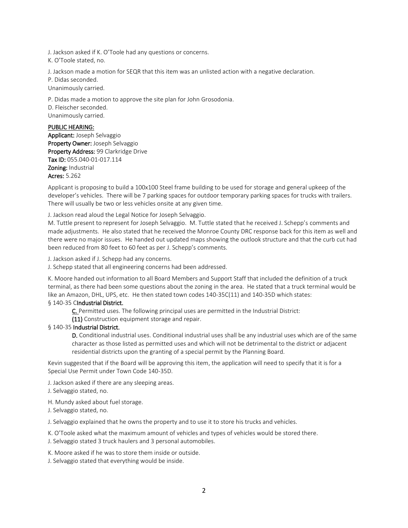J. Jackson asked if K. O'Toole had any questions or concerns. K. O'Toole stated, no.

J. Jackson made a motion for SEQR that this item was an unlisted action with a negative declaration. P. Didas seconded. Unanimously carried.

P. Didas made a motion to approve the site plan for John Grosodonia. D. Fleischer seconded. Unanimously carried.

## PUBLIC HEARING:

Applicant: Joseph Selvaggio Property Owner: Joseph Selvaggio Property Address: 99 Clarkridge Drive Tax ID: 055.040-01-017.114 Zoning: Industrial Acres: 5.262

Applicant is proposing to build a 100x100 Steel frame building to be used for storage and general upkeep of the developer's vehicles. There will be 7 parking spaces for outdoor temporary parking spaces for trucks with trailers. There will usually be two or less vehicles onsite at any given time.

J. Jackson read aloud the Legal Notice for Joseph Selvaggio.

M. Tuttle present to represent for Joseph Selvaggio. M. Tuttle stated that he received J. Schepp's comments and made adjustments. He also stated that he received the Monroe County DRC response back for this item as well and there were no major issues. He handed out updated maps showing the outlook structure and that the curb cut had been reduced from 80 feet to 60 feet as per J. Schepp's comments.

J. Jackson asked if J. Schepp had any concerns.

J. Schepp stated that all engineering concerns had been addressed.

K. Moore handed out information to all Board Members and Support Staff that included the definition of a truck terminal, as there had been some questions about the zoning in the area. He stated that a truck terminal would be like an Amazon, DHL, UPS, etc. He then stated town codes 140-35C(11) and 140-35D which states:

### § 140-35 CIndustrial District.

[C. P](https://ecode360.com/8651173#8651173)ermitted uses. The following principal uses are permitted in the Industrial District:

[\(11\) C](https://ecode360.com/8651184#8651184)onstruction equipment storage and repair.

#### § 140-35 Industrial District.

D. Conditional industrial uses. Conditional industrial uses shall be any industrial uses which are of the same character as those listed as permitted uses and which will not be detrimental to the district or adjacent residential districts upon the granting of a special permit by the Planning Board.

Kevin suggested that if the Board will be approving this item, the application will need to specify that it is for a Special Use Permit under Town Code 140-35D.

J. Jackson asked if there are any sleeping areas.

J. Selvaggio stated, no.

H. Mundy asked about fuel storage.

J. Selvaggio stated, no.

J. Selvaggio explained that he owns the property and to use it to store his trucks and vehicles.

K. O'Toole asked what the maximum amount of vehicles and types of vehicles would be stored there.

J. Selvaggio stated 3 truck haulers and 3 personal automobiles.

K. Moore asked if he was to store them inside or outside.

J. Selvaggio stated that everything would be inside.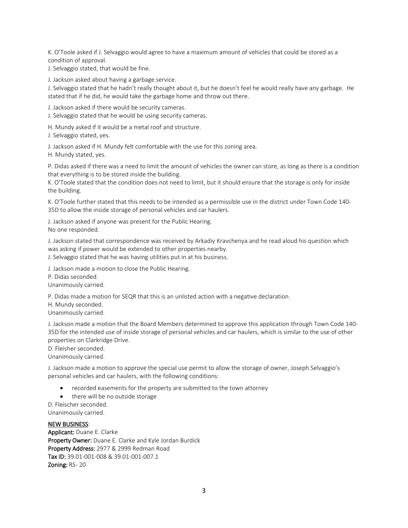K. O'Toole asked if J. Selvaggio would agree to have a maximum amount of vehicles that could be stored as a condition of approval.

J. Selvaggio stated, that would be fine.

J. Jackson asked about having a garbage service.

J. Selvaggio stated that he hadn't really thought about it, but he doesn't feel he would really have any garbage. He stated that if he did, he would take the garbage home and throw out there.

J. Jackson asked if there would be security cameras.

J. Selvaggio stated that he would be using security cameras.

H. Mundy asked if it would be a metal roof and structure.

J. Selvaggio stated, yes.

J. Jackson asked if H. Mundy felt comfortable with the use for this zoning area.

H. Mundy stated, yes.

P. Didas asked if there was a need to limit the amount of vehicles the owner can store, as long as there is a condition that everything is to be stored inside the building.

K. O'Toole stated that the condition does not need to limit, but it should ensure that the storage is only for inside the building.

K. O'Toole further stated that this needs to be intended as a permissible use in the district under Town Code 140- 35D to allow the inside storage of personal vehicles and car haulers.

J. Jackson asked if anyone was present for the Public Hearing.

No one responded.

J. Jackson stated that correspondence was received by Arkadiy Kravchenya and he read aloud his question which was asking if power would be extended to other properties nearby.

J. Selvaggio stated that he was having utilities put in at his business.

J. Jackson made a motion to close the Public Hearing.

P. Didas seconded.

Unanimously carried.

P. Didas made a motion for SEQR that this is an unlisted action with a negative declaration.

H. Mundy seconded.

Unanimously carried.

J. Jackson made a motion that the Board Members determined to approve this application through Town Code 140- 35D for the intended use of inside storage of personal vehicles and car haulers, which is similar to the use of other properties on Clarkridge Drive.

D. Fleisher seconded.

Unanimously carried.

J. Jackson made a motion to approve the special use permit to allow the storage of owner, Joseph Selvaggio's personal vehicles and car haulers, with the following conditions:

- recorded easements for the property are submitted to the town attorney
- there will be no outside storage

D. Fleischer seconded.

Unanimously carried.

#### NEW BUSINESS:

Applicant: Duane E. Clarke Property Owner: Duane E. Clarke and Kyle Jordan Burdick Property Address: 2977 & 2999 Redman Road Tax ID: 39.01-001-008 & 39.01-001-007.1 Zoning: RS- 20